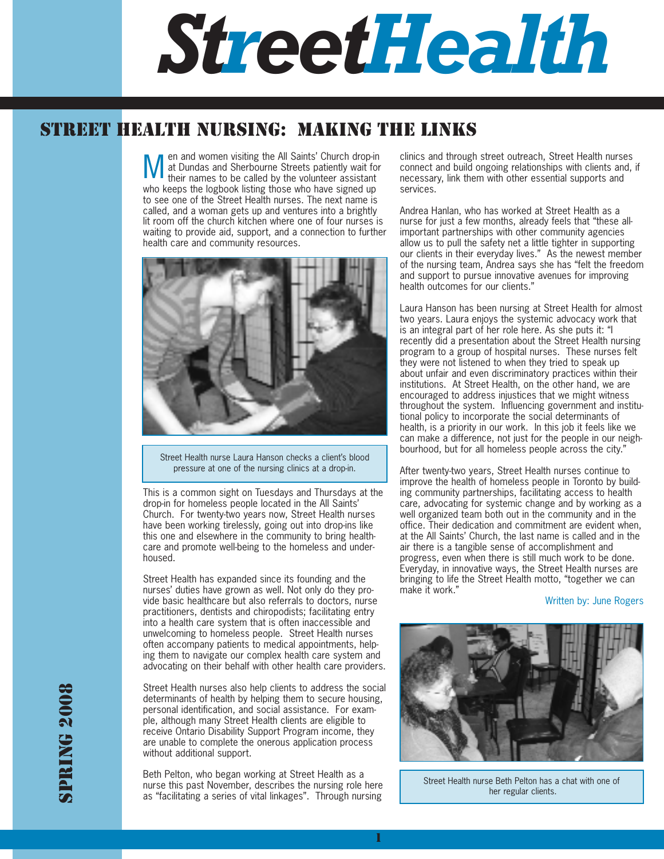

# STREET HEALTH NURSING: MAKING THE LINKS

en and women visiting the All Saints' Church drop-in at Dundas and Sherbourne Streets patiently wait for their names to be called by the volunteer assistant who keeps the logbook listing those who have signed up to see one of the Street Health nurses. The next name is called, and a woman gets up and ventures into a brightly lit room off the church kitchen where one of four nurses is waiting to provide aid, support, and a connection to further health care and community resources. M



Street Health nurse Laura Hanson checks a client's blood pressure at one of the nursing clinics at a drop-in.

This is a common sight on Tuesdays and Thursdays at the drop-in for homeless people located in the All Saints' Church. For twenty-two years now, Street Health nurses have been working tirelessly, going out into drop-ins like this one and elsewhere in the community to bring healthcare and promote well-being to the homeless and underhoused.

Street Health has expanded since its founding and the nurses' duties have grown as well. Not only do they provide basic healthcare but also referrals to doctors, nurse practitioners, dentists and chiropodists; facilitating entry into a health care system that is often inaccessible and unwelcoming to homeless people. Street Health nurses often accompany patients to medical appointments, helping them to navigate our complex health care system and advocating on their behalf with other health care providers.

Street Health nurses also help clients to address the social determinants of health by helping them to secure housing, personal identification, and social assistance. For example, although many Street Health clients are eligible to receive Ontario Disability Support Program income, they are unable to complete the onerous application process without additional support.

Beth Pelton, who began working at Street Health as a nurse this past November, describes the nursing role here as "facilitating a series of vital linkages". Through nursing

clinics and through street outreach, Street Health nurses connect and build ongoing relationships with clients and, if necessary, link them with other essential supports and services.

Andrea Hanlan, who has worked at Street Health as a nurse for just a few months, already feels that "these allimportant partnerships with other community agencies allow us to pull the safety net a little tighter in supporting our clients in their everyday lives." As the newest member of the nursing team, Andrea says she has "felt the freedom and support to pursue innovative avenues for improving health outcomes for our clients."

Laura Hanson has been nursing at Street Health for almost two years. Laura enjoys the systemic advocacy work that is an integral part of her role here. As she puts it: "I recently did a presentation about the Street Health nursing program to a group of hospital nurses. These nurses felt they were not listened to when they tried to speak up about unfair and even discriminatory practices within their institutions. At Street Health, on the other hand, we are encouraged to address injustices that we might witness throughout the system. Influencing government and institutional policy to incorporate the social determinants of health, is a priority in our work. In this job it feels like we can make a difference, not just for the people in our neighbourhood, but for all homeless people across the city."

After twenty-two years, Street Health nurses continue to improve the health of homeless people in Toronto by building community partnerships, facilitating access to health care, advocating for systemic change and by working as a well organized team both out in the community and in the office. Their dedication and commitment are evident when, at the All Saints' Church, the last name is called and in the air there is a tangible sense of accomplishment and progress, even when there is still much work to be done. Everyday, in innovative ways, the Street Health nurses are bringing to life the Street Health motto, "together we can make it work."

### Written by: June Rogers



Street Health nurse Beth Pelton has a chat with one of her regular clients.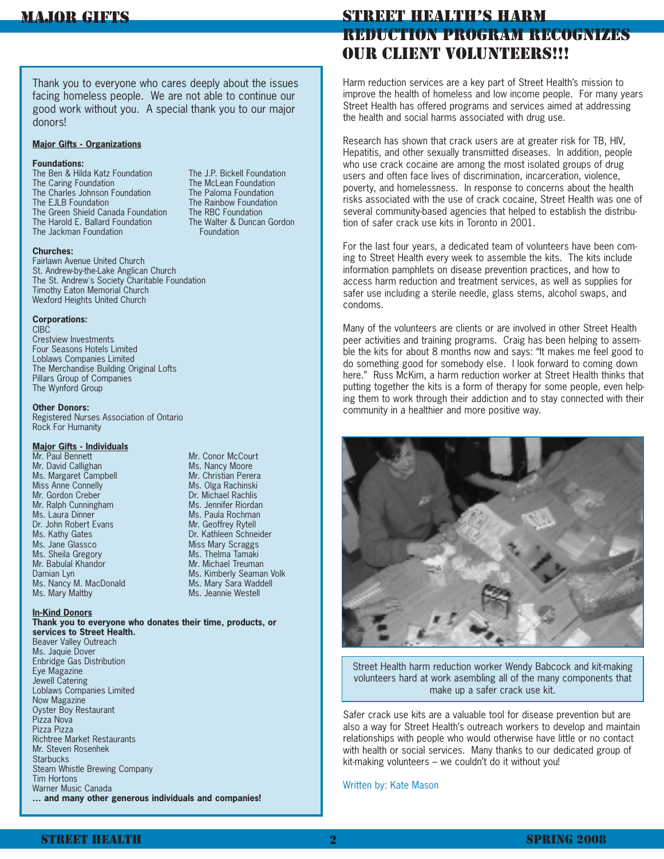Thank you to everyone who cares deeply about the issues facing homeless people. We are not able to continue our good work without you. A special thank you to our major donors!

## **Major Gifts - Organizations**

#### **Foundations:**

The Ben & Hilda Katz Foundation The J.P. Bickell Foundation The Caring Foundation The McLean Foundation The Charles Johnson Foundation The Paloma Foundation The EJLB Foundation The Rainbow Foundation The Green Shield Canada Foundation The RBC Foundation<br>The Harold E. Ballard Foundation The Walter & Duncan Gordon The Harold E. Ballard Foundation The Jackman Foundation **Foundation** 

#### **Churches:**

Fairlawn Avenue United Church St. Andrew-by-the-Lake Anglican Church The St. Andrew's Society Charitable Foundation Timothy Eaton Memorial Church Wexford Heights United Church

#### **Corporations:**

**CIBC** Crestview Investments Four Seasons Hotels Limited Loblaws Companies Limited The Merchandise Building Original Lofts Pillars Group of Companies The Wynford Group

### **Other Donors:**

Registered Nurses Association of Ontario Rock For Humanity

#### **Major Gifts - Individuals**

Mr. Paul Bennett Mr. Conor McCourt Mr. David Callighan Ms. Nancy Moore Ms. Margaret Campbell Mr. Christian Perera Miss Anne Connelly Miss Anne Connelly Miss Anne Connelly Mr. Gordon Creber **Dr. Michael Rachlis** Mr. Ralph Cunningham Ms. Jennifer Riordan Ms. Laura Dinner Ms. Paula Rochman Dr. John Robert Evans Mr. Geoffrey Rytell Ms. Kathy Gates **Dr. Kathleen Schneider** Ms. Jane Glassco Miss Mary Scraggs<br>
Ms. Sheila Gregory Ms. Thelma Tamaki Ms. Sheila Gregory Mr. Babulal Khandor Mr. Michael Treuman Damian Lyn Ms. Kimberly Seaman Volk Ms. Nancy M. MacDonald Ms. Mary Sara Waddell Ms. Mary Maltby Ms. Jeannie Westell

### **In-Kind Donors**

#### **Thank you to everyone who donates their time, products, or services to Street Health.**

Beaver Valley Outreach Ms. Jaquie Dover Enbridge Gas Distribution Eye Magazine Jewell Catering Loblaws Companies Limited Now Magazine Oyster Boy Restaurant Pizza Nova Pizza Pizza Richtree Market Restaurants Mr. Steven Rosenhek **Starbucks** Steam Whistle Brewing Company Tim Hortons Warner Music Canada **… and many other generous individuals and companies!** STREET HEALTH'S HARM REDUCTION PROGRAM RECOGNIZES OUR CLIENT VOLUNTEERS!!!

Harm reduction services are a key part of Street Health's mission to improve the health of homeless and low income people. For many years Street Health has offered programs and services aimed at addressing the health and social harms associated with drug use.

Research has shown that crack users are at greater risk for TB, HIV, Hepatitis, and other sexually transmitted diseases. In addition, people who use crack cocaine are among the most isolated groups of drug users and often face lives of discrimination, incarceration, violence, poverty, and homelessness. In response to concerns about the health risks associated with the use of crack cocaine, Street Health was one of several community-based agencies that helped to establish the distribution of safer crack use kits in Toronto in 2001.

For the last four years, a dedicated team of volunteers have been coming to Street Health every week to assemble the kits. The kits include information pamphlets on disease prevention practices, and how to access harm reduction and treatment services, as well as supplies for safer use including a sterile needle, glass stems, alcohol swaps, and condoms.

Many of the volunteers are clients or are involved in other Street Health peer activities and training programs. Craig has been helping to assemble the kits for about 8 months now and says: "It makes me feel good to do something good for somebody else. I look forward to coming down here." Russ McKim, a harm reduction worker at Street Health thinks that putting together the kits is a form of therapy for some people, even helping them to work through their addiction and to stay connected with their community in a healthier and more positive way.



Street Health harm reduction worker Wendy Babcock and kit-making volunteers hard at work asembling all of the many components that make up a safer crack use kit.

Safer crack use kits are a valuable tool for disease prevention but are also a way for Street Health's outreach workers to develop and maintain relationships with people who would otherwise have little or no contact with health or social services. Many thanks to our dedicated group of kit-making volunteers – we couldn't do it without you!

Written by: Kate Mason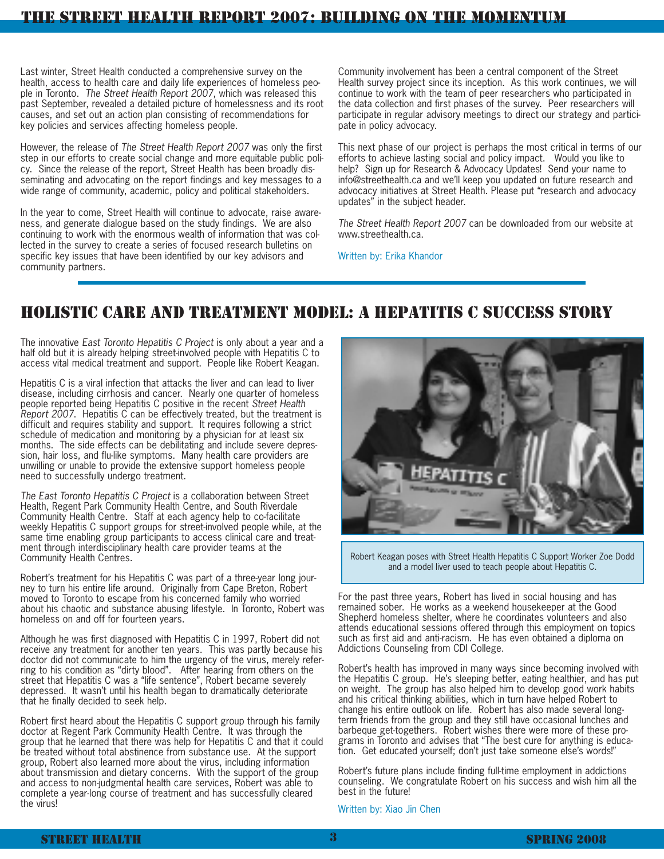# THE STREET HEALTH REPORT 2007: BUILDING ON THE MOMENTUM

Last winter, Street Health conducted a comprehensive survey on the health, access to health care and daily life experiences of homeless people in Toronto. The Street Health Report 2007, which was released this past September, revealed a detailed picture of homelessness and its root causes, and set out an action plan consisting of recommendations for key policies and services affecting homeless people.

However, the release of The Street Health Report 2007 was only the first step in our efforts to create social change and more equitable public policy. Since the release of the report, Street Health has been broadly disseminating and advocating on the report findings and key messages to a wide range of community, academic, policy and political stakeholders.

In the year to come, Street Health will continue to advocate, raise awareness, and generate dialogue based on the study findings. We are also continuing to work with the enormous wealth of information that was collected in the survey to create a series of focused research bulletins on specific key issues that have been identified by our key advisors and community partners.

Community involvement has been a central component of the Street Health survey project since its inception. As this work continues, we will continue to work with the team of peer researchers who participated in the data collection and first phases of the survey. Peer researchers will participate in regular advisory meetings to direct our strategy and participate in policy advocacy.

This next phase of our project is perhaps the most critical in terms of our efforts to achieve lasting social and policy impact. Would you like to help? Sign up for Research & Advocacy Updates! Send your name to info@streethealth.ca and we'll keep you updated on future research and advocacy initiatives at Street Health. Please put "research and advocacy updates" in the subject header.

The Street Health Report 2007 can be downloaded from our website at www.streethealth.ca.

Written by: Erika Khandor

# HOLISTIC CARE AND TREATMENT MODEL: A HEPATITIS C SUCCESS STORY

The innovative East Toronto Hepatitis C Project is only about a year and a half old but it is already helping street-involved people with Hepatitis C to access vital medical treatment and support. People like Robert Keagan.

Hepatitis C is a viral infection that attacks the liver and can lead to liver disease, including cirrhosis and cancer. Nearly one quarter of homeless people reported being Hepatitis C positive in the recent Street Health Report 2007. Hepatitis C can be effectively treated, but the treatment is difficult and requires stability and support. It requires following a strict schedule of medication and monitoring by a physician for at least six months. The side effects can be debilitating and include severe depression, hair loss, and flu-like symptoms. Many health care providers are unwilling or unable to provide the extensive support homeless people need to successfully undergo treatment.

The East Toronto Hepatitis C Project is a collaboration between Street Health, Regent Park Community Health Centre, and South Riverdale Community Health Centre. Staff at each agency help to co-facilitate weekly Hepatitis C support groups for street-involved people while, at the same time enabling group participants to access clinical care and treatment through interdisciplinary health care provider teams at the Community Health Centres.

Robert's treatment for his Hepatitis C was part of a three-year long journey to turn his entire life around. Originally from Cape Breton, Robert moved to Toronto to escape from his concerned family who worried about his chaotic and substance abusing lifestyle. In Toronto, Robert was homeless on and off for fourteen years.

Although he was first diagnosed with Hepatitis C in 1997, Robert did not receive any treatment for another ten years. This was partly because his doctor did not communicate to him the urgency of the virus, merely referring to his condition as "dirty blood". After hearing from others on the street that Hepatitis C was a "life sentence", Robert became severely depressed. It wasn't until his health began to dramatically deteriorate that he finally decided to seek help.

Robert first heard about the Hepatitis C support group through his family doctor at Regent Park Community Health Centre. It was through the group that he learned that there was help for Hepatitis C and that it could be treated without total abstinence from substance use. At the support group, Robert also learned more about the virus, including information about transmission and dietary concerns. With the support of the group and access to non-judgmental health care services, Robert was able to complete a year-long course of treatment and has successfully cleared the virus!



Robert Keagan poses with Street Health Hepatitis C Support Worker Zoe Dodd and a model liver used to teach people about Hepatitis C.

For the past three years, Robert has lived in social housing and has remained sober. He works as a weekend housekeeper at the Good Shepherd homeless shelter, where he coordinates volunteers and also attends educational sessions offered through this employment on topics such as first aid and anti-racism. He has even obtained a diploma on Addictions Counseling from CDI College.

Robert's health has improved in many ways since becoming involved with the Hepatitis C group. He's sleeping better, eating healthier, and has put on weight. The group has also helped him to develop good work habits and his critical thinking abilities, which in turn have helped Robert to change his entire outlook on life. Robert has also made several longterm friends from the group and they still have occasional lunches and barbeque get-togethers. Robert wishes there were more of these programs in Toronto and advises that "The best cure for anything is education. Get educated yourself; don't just take someone else's words!"

Robert's future plans include finding full-time employment in addictions counseling. We congratulate Robert on his success and wish him all the best in the future!

Written by: Xiao Jin Chen